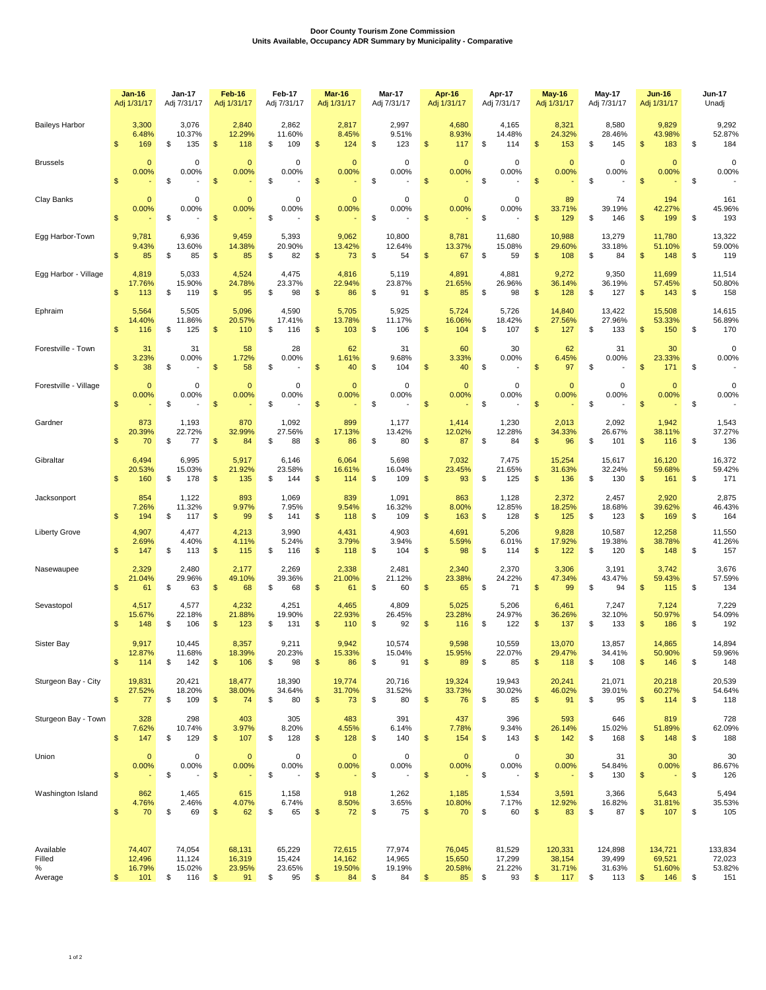## **Door County Tourism Zone Commission Units Available, Occupancy ADR Summary by Municipality - Comparative**

|                                     | Jan-16                                  | <b>Jan-17</b>                                | Feb-16                                            | Feb-17                                       | <b>Mar-16</b>                                     | <b>Mar-17</b>                          | Apr-16                                             | Apr-17                                 | <b>May-16</b>                                        | <b>May-17</b>                            | <b>Jun-16</b>                                       | <b>Jun-17</b>                            |
|-------------------------------------|-----------------------------------------|----------------------------------------------|---------------------------------------------------|----------------------------------------------|---------------------------------------------------|----------------------------------------|----------------------------------------------------|----------------------------------------|------------------------------------------------------|------------------------------------------|-----------------------------------------------------|------------------------------------------|
|                                     | Adj 1/31/17                             | Adj 7/31/17                                  | Adj 1/31/17                                       | Adj 7/31/17                                  | Adj 1/31/17                                       | Adj 7/31/17                            | Adj 1/31/17                                        | Adj 7/31/17                            | Adj 1/31/17                                          | Adj 7/31/17                              | Adj 1/31/17                                         | Unadj                                    |
| <b>Baileys Harbor</b>               | 3,300                                   | 3,076                                        | 2,840                                             | 2,862                                        | 2,817                                             | 2,997                                  | 4,680                                              | 4,165                                  | 8,321                                                | 8,580                                    | 9,829                                               | 9,292                                    |
|                                     | 6.48%                                   | 10.37%                                       | 12.29%                                            | 11.60%                                       | 8.45%                                             | 9.51%                                  | 8.93%                                              | 14.48%                                 | 24.32%                                               | 28.46%                                   | 43.98%                                              | 52.87%                                   |
|                                     | \$                                      | \$                                           | $\mathfrak{s}$                                    | \$                                           | \$                                                | 123                                    | \$                                                 | \$                                     | \$                                                   | \$                                       | \$                                                  | 184                                      |
|                                     | 169                                     | 135                                          | 118                                               | 109                                          | 124                                               | \$                                     | 117                                                | 114                                    | 153                                                  | 145                                      | 183                                                 | \$                                       |
| <b>Brussels</b>                     | $\Omega$                                | 0                                            | $\Omega$                                          | $\Omega$                                     | $\mathbf{0}$                                      | $\mathbf 0$                            | $\mathbf{0}$                                       | 0                                      | $\Omega$                                             | 0                                        | $\mathbf{0}$                                        | 0                                        |
|                                     | 0.00%                                   | 0.00%                                        | 0.00%                                             | 0.00%                                        | 0.00%                                             | 0.00%                                  | 0.00%                                              | 0.00%                                  | 0.00%                                                | 0.00%                                    | 0.00%                                               | 0.00%                                    |
|                                     | $\mathfrak{s}$                          | \$                                           | $\mathfrak{s}$                                    | \$                                           | $\mathfrak{s}$                                    | \$                                     | $\mathsf{\$}$                                      | \$                                     | $\mathfrak{s}$                                       | \$                                       | $\mathfrak{s}$                                      | \$                                       |
| Clay Banks                          | $\mathbf{0}$<br>0.00%<br>$\mathsf{\$}$  | 0<br>0.00%<br>\$                             | $\Omega$<br>0.00%<br>$\mathfrak{s}$               | 0<br>0.00%<br>\$                             | $\mathbf{0}$<br>0.00%<br>\$                       | $\mathbf 0$<br>0.00%<br>\$             | $\mathbf{0}$<br>0.00%<br>$\mathsf{\$}$             | 0<br>0.00%<br>\$                       | 89<br>33.71%<br>$\mathfrak{s}$<br>129                | 74<br>39.19%<br>\$<br>146                | 194<br>42.27%<br>\$<br>199                          | 161<br>45.96%<br>\$<br>193               |
| Egg Harbor-Town                     | 9,781                                   | 6,936                                        | 9,459                                             | 5,393                                        | 9,062                                             | 10,800                                 | 8,781                                              | 11,680                                 | 10,988                                               | 13,279                                   | 11,780                                              | 13,322                                   |
|                                     | 9.43%                                   | 13.60%                                       | 14.38%                                            | 20.90%                                       | 13.42%                                            | 12.64%                                 | 13.37%                                             | 15.08%                                 | 29.60%                                               | 33.18%                                   | 51.10%                                              | 59.00%                                   |
|                                     | $\mathsf{\$}$                           | \$                                           | $\mathfrak{s}$                                    | \$                                           | $\mathsf{\$}$                                     | \$                                     | $\mathfrak{s}$                                     | \$                                     | $\mathfrak{s}$                                       | \$                                       | \$                                                  | \$                                       |
|                                     | 85                                      | 85                                           | 85                                                | 82                                           | 73                                                | 54                                     | 67                                                 | 59                                     | 108                                                  | 84                                       | 148                                                 | 119                                      |
| Egg Harbor - Village                | 4,819                                   | 5,033                                        | 4,524                                             | 4,475                                        | 4,816                                             | 5,119                                  | 4,891                                              | 4,881                                  | 9,272                                                | 9,350                                    | 11,699                                              | 11,514                                   |
|                                     | 17.76%                                  | 15.90%                                       | 24.78%                                            | 23.37%                                       | 22.94%                                            | 23.87%                                 | 21.65%                                             | 26.96%                                 | 36.14%                                               | 36.19%                                   | 57.45%                                              | 50.80%                                   |
|                                     | $\mathbf{s}$                            | \$                                           | $\mathfrak{s}$                                    | \$                                           | \$                                                | \$                                     | $\mathsf{\$}$                                      | \$                                     | $\mathfrak{s}$                                       | \$                                       | \$                                                  | \$                                       |
|                                     | 113                                     | 119                                          | 95                                                | 98                                           | 86                                                | 91                                     | 85                                                 | 98                                     | 128                                                  | 127                                      | 143                                                 | 158                                      |
| Ephraim                             | 5,564                                   | 5,505                                        | 5,096                                             | 4,590                                        | 5,705                                             | 5,925                                  | 5,724                                              | 5,726                                  | 14,840                                               | 13,422                                   | 15,508                                              | 14,615                                   |
|                                     | 14.40%                                  | 11.86%                                       | 20.57%                                            | 17.41%                                       | 13.78%                                            | 11.17%                                 | 16.06%                                             | 18.42%                                 | 27.56%                                               | 27.96%                                   | 53.33%                                              | 56.89%                                   |
|                                     | $\mathfrak{s}$                          | 125                                          | $\mathfrak{s}$                                    | \$                                           | 103                                               | 106                                    | 104                                                | 107                                    | $\mathfrak{s}$                                       | \$                                       | $\mathfrak{s}$                                      | \$                                       |
|                                     | 116                                     | \$                                           | 110                                               | 116                                          | $\mathfrak{s}$                                    | \$                                     | \$                                                 | \$                                     | 127                                                  | 133                                      | 150                                                 | 170                                      |
| Forestville - Town                  | 31<br>3.23%<br>$\mathfrak{s}$<br>38     | 31<br>0.00%<br>\$                            | 58<br>1.72%<br>$\mathfrak{s}$<br>58               | 28<br>0.00%<br>\$                            | 62<br>1.61%<br>\$<br>40                           | 31<br>9.68%<br>\$<br>104               | 60<br>3.33%<br>\$<br>40                            | 30<br>0.00%<br>\$                      | 62<br>6.45%<br>$\mathfrak{s}$<br>97                  | 31<br>0.00%<br>\$                        | 30<br>23.33%<br>\$<br>171                           | $\mathbf 0$<br>0.00%<br>\$               |
| Forestville - Village               | $\mathbf{0}$                            | 0                                            | $\Omega$                                          | $\Omega$                                     | $\mathbf{0}$                                      | $\mathbf 0$                            | $\mathbf{0}$                                       | $\Omega$                               | $\Omega$                                             | 0                                        | $\mathbf{0}$                                        | $\mathbf 0$                              |
|                                     | 0.00%                                   | 0.00%                                        | 0.00%                                             | 0.00%                                        | 0.00%                                             | 0.00%                                  | 0.00%                                              | 0.00%                                  | 0.00%                                                | 0.00%                                    | 0.00%                                               | 0.00%                                    |
|                                     | $\mathfrak{s}$                          | \$                                           | $\frac{3}{2}$                                     | \$                                           | \$                                                | \$                                     | $\mathfrak{s}$                                     | \$                                     | $\mathfrak{s}$                                       | \$                                       | $\mathfrak{s}$                                      | \$                                       |
| Gardner                             | 873                                     | 1,193                                        | 870                                               | 1,092                                        | 899                                               | 1,177                                  | 1,414                                              | 1,230                                  | 2,013                                                | 2,092                                    | 1,942                                               | 1,543                                    |
|                                     | 20.39%                                  | 22.72%                                       | 32.99%                                            | 27.56%                                       | 17.13%                                            | 13.42%                                 | 12.02%                                             | 12.28%                                 | 34.33%                                               | 26.67%                                   | 38.11%                                              | 37.27%                                   |
|                                     | $\mathbf{s}$                            | \$                                           | $\mathfrak{s}$                                    | \$                                           | \$                                                | \$                                     | \$                                                 | \$                                     | $\mathfrak{s}$                                       | \$                                       | \$                                                  | \$                                       |
|                                     | 70                                      | 77                                           | 84                                                | 88                                           | 86                                                | 80                                     | 87                                                 | 84                                     | 96                                                   | 101                                      | 116                                                 | 136                                      |
| Gibraltar                           | 6.494                                   | 6,995                                        | 5,917                                             | 6,146                                        | 6,064                                             | 5,698                                  | 7,032                                              | 7,475                                  | 15,254                                               | 15,617                                   | 16,120                                              | 16,372                                   |
|                                     | 20.53%                                  | 15.03%                                       | 21.92%                                            | 23.58%                                       | 16.61%                                            | 16.04%                                 | 23.45%                                             | 21.65%                                 | 31.63%                                               | 32.24%                                   | 59.68%                                              | 59.42%                                   |
|                                     | \$                                      | 178                                          | \$                                                | \$                                           | \$                                                | \$                                     | \$                                                 | 125                                    | $\mathsf{\$}$                                        | \$                                       | \$                                                  | \$                                       |
|                                     | 160                                     | \$                                           | 135                                               | 144                                          | 114                                               | 109                                    | 93                                                 | \$                                     | 136                                                  | 130                                      | 161                                                 | 171                                      |
| Jacksonport                         | 854                                     | 1,122                                        | 893                                               | 1,069                                        | 839                                               | 1,091                                  | 863                                                | 1,128                                  | 2,372                                                | 2,457                                    | 2,920                                               | 2,875                                    |
|                                     | 7.26%                                   | 11.32%                                       | 9.97%                                             | 7.95%                                        | 9.54%                                             | 16.32%                                 | 8.00%                                              | 12.85%                                 | 18.25%                                               | 18.68%                                   | 39.62%                                              | 46.43%                                   |
|                                     | $\mathfrak{s}$                          | \$                                           | $\mathfrak{s}$                                    | \$                                           | \$                                                | \$                                     | \$                                                 | \$                                     | $\mathfrak{s}$                                       | \$                                       | \$                                                  | \$                                       |
|                                     | 194                                     | 117                                          | 99                                                | 141                                          | 118                                               | 109                                    | 163                                                | 128                                    | 125                                                  | 123                                      | 169                                                 | 164                                      |
| <b>Liberty Grove</b>                | 4,907                                   | 4,477                                        | 4,213                                             | 3,990                                        | 4,431                                             | 4,903                                  | 4,691                                              | 5,206                                  | 9,828                                                | 10,587                                   | 12,258                                              | 11,550                                   |
|                                     | 2.69%                                   | 4.40%                                        | 4.11%                                             | 5.24%                                        | 3.79%                                             | 3.94%                                  | 5.59%                                              | 6.01%                                  | 17.92%                                               | 19.38%                                   | 38.78%                                              | 41.26%                                   |
|                                     | \$                                      | 113                                          | \$                                                | 116                                          | \$                                                | \$                                     | \$                                                 | 114                                    | \$                                                   | \$                                       | \$                                                  | 157                                      |
|                                     | 147                                     | \$                                           | 115                                               | \$                                           | 118                                               | 104                                    | 98                                                 | S                                      | 122                                                  | 120                                      | 148                                                 | \$                                       |
| Nasewaupee                          | 2,329                                   | 2,480                                        | 2,177                                             | 2,269                                        | 2,338                                             | 2,481                                  | 2,340                                              | 2,370                                  | 3,306                                                | 3,191                                    | 3,742                                               | 3,676                                    |
|                                     | 21.04%                                  | 29.96%                                       | 49.10%                                            | 39.36%                                       | 21.00%                                            | 21.12%                                 | 23.38%                                             | 24.22%                                 | 47.34%                                               | 43.47%                                   | 59.43%                                              | 57.59%                                   |
|                                     | $\mathfrak{s}$                          | \$                                           | $\frac{3}{2}$                                     | 68                                           | \$                                                | \$                                     | 65                                                 | 71                                     | $\frac{1}{2}$                                        | \$                                       | \$                                                  | \$                                       |
|                                     | 61                                      | 63                                           | 68                                                | \$                                           | 61                                                | 60                                     | \$                                                 | \$                                     | 99                                                   | 94                                       | 115                                                 | 134                                      |
| Sevastopol                          | 4,517                                   | 4,577                                        | 4,232                                             | 4,251                                        | 4,465                                             | 4,809                                  | 5,025                                              | 5,206                                  | 6,461                                                | 7,247                                    | 7,124                                               | 7,229                                    |
|                                     | 15.67%                                  | 22.18%                                       | 21.88%                                            | 19.90%                                       | 22.93%                                            | 26.45%                                 | 23.28%                                             | 24.97%                                 | 36.26%                                               | 32.10%                                   | 50.97%                                              | 54.09%                                   |
|                                     | $\mathfrak{s}$                          | \$                                           | 123                                               | 131                                          | \$                                                | 92                                     | \$                                                 | 122                                    | \$                                                   | 133                                      | \$                                                  | 192                                      |
|                                     | 148                                     | 106                                          | \$                                                | \$                                           | 110                                               | \$                                     | 116                                                | \$                                     | 137                                                  | \$                                       | 186                                                 | \$                                       |
| Sister Bay                          | 9,917                                   | 10.445                                       | 8,357                                             | 9,211                                        | 9,942                                             | 10,574                                 | 9,598                                              | 10,559                                 | 13,070                                               | 13,857                                   | 14,865                                              | 14,894                                   |
|                                     | 12.87%                                  | 11.68%                                       | 18.39%                                            | 20.23%                                       | 15.33%                                            | 15.04%                                 | 15.95%                                             | 22.07%                                 | 29.47%                                               | 34.41%                                   | 50.90%                                              | 59.96%                                   |
|                                     | $\frac{2}{3}$                           | \$                                           | $\frac{3}{2}$                                     | 98                                           | \$                                                | 91                                     | 89                                                 | 85                                     | $\frac{1}{2}$                                        | 108                                      | $\mathfrak{s}$                                      | 148                                      |
|                                     | 114                                     | 142                                          | 106                                               | \$                                           | 86                                                | \$                                     | \$                                                 | \$                                     | 118                                                  | \$                                       | 146                                                 | \$                                       |
| Sturgeon Bay - City                 | 19,831                                  | 20,421                                       | 18,477                                            | 18,390                                       | 19,774                                            | 20,716                                 | 19,324                                             | 19,943                                 | 20,241                                               | 21,071                                   | 20,218                                              | 20,539                                   |
|                                     | 27.52%                                  | 18.20%                                       | 38.00%                                            | 34.64%                                       | 31.70%                                            | 31.52%                                 | 33.73%                                             | 30.02%                                 | 46.02%                                               | 39.01%                                   | 60.27%                                              | 54.64%                                   |
|                                     | $\sqrt[6]{3}$                           | \$                                           | $\frac{1}{2}$                                     | \$                                           | \$                                                | \$                                     | \$                                                 | \$                                     | $\frac{1}{2}$                                        | \$                                       | \$                                                  | 118                                      |
|                                     | 77                                      | 109                                          | 74                                                | 80                                           | 73                                                | 80                                     | 76                                                 | 85                                     | 91                                                   | 95                                       | 114                                                 | \$                                       |
| Sturgeon Bay - Town                 | 328                                     | 298                                          | 403                                               | 305                                          | 483                                               | 391                                    | 437                                                | 396                                    | 593                                                  | 646                                      | 819                                                 | 728                                      |
|                                     | 7.62%                                   | 10.74%                                       | 3.97%                                             | 8.20%                                        | 4.55%                                             | 6.14%                                  | 7.78%                                              | 9.34%                                  | 26.14%                                               | 15.02%                                   | 51.89%                                              | 62.09%                                   |
|                                     | \$                                      | 129                                          | $\frac{3}{2}$                                     | \$                                           | 128                                               | 140                                    | \$                                                 | 143                                    | $\frac{1}{2}$                                        | \$                                       | \$                                                  | 188                                      |
|                                     | 147                                     | \$                                           | 107                                               | 128                                          | \$                                                | \$                                     | 154                                                | \$                                     | 142                                                  | 168                                      | 148                                                 | \$                                       |
| Union                               | $\mathbf{0}$<br>0.00%<br>$\mathfrak{s}$ | 0<br>0.00%<br>\$<br>$\overline{\phantom{a}}$ | $\mathbf 0$<br>0.00%<br>$\frac{1}{2}$             | 0<br>0.00%<br>\$<br>$\overline{\phantom{a}}$ | $\mathbf{0}$<br>0.00%<br>$\frac{1}{2}$            | 0<br>0.00%<br>\$                       | $\mathbf 0$<br>0.00%<br>$\frac{1}{2}$              | 0<br>0.00%<br>\$<br>$\blacksquare$     | 30<br>0.00%<br>$\mathsf{\$}$                         | 31<br>54.84%<br>\$<br>130                | 30<br>0.00%<br>$\sqrt[6]{3}$                        | 30<br>86.67%<br>\$<br>126                |
| Washington Island                   | 862                                     | 1,465                                        | 615                                               | 1,158                                        | 918                                               | 1,262                                  | 1,185                                              | 1,534                                  | 3,591                                                | 3,366                                    | 5,643                                               | 5,494                                    |
|                                     | 4.76%                                   | 2.46%                                        | 4.07%                                             | 6.74%                                        | 8.50%                                             | 3.65%                                  | 10.80%                                             | 7.17%                                  | 12.92%                                               | 16.82%                                   | 31.81%                                              | 35.53%                                   |
|                                     | \$                                      | \$                                           | $\frac{3}{2}$                                     | \$                                           | \$                                                | \$                                     | \$                                                 | \$                                     | $\frac{1}{2}$                                        | \$                                       | \$                                                  | \$                                       |
|                                     | 70                                      | 69                                           | 62                                                | 65                                           | 72                                                | 75                                     | 70                                                 | 60                                     | 83                                                   | 87                                       | 107                                                 | 105                                      |
| Available<br>Filled<br>%<br>Average | 74,407<br>12,496<br>16.79%<br>\$<br>101 | 74,054<br>11,124<br>15.02%<br>\$<br>116      | 68,131<br>16,319<br>23.95%<br>$\frac{3}{2}$<br>91 | 65,229<br>15,424<br>23.65%<br>\$<br>95       | 72,615<br>14,162<br>19.50%<br>$\frac{1}{2}$<br>84 | 77,974<br>14,965<br>19.19%<br>\$<br>84 | 76,045<br>15,650<br>20.58%<br>$\mathfrak{s}$<br>85 | 81,529<br>17,299<br>21.22%<br>\$<br>93 | 120,331<br>38,154<br>31.71%<br>$\mathfrak{S}$<br>117 | 124,898<br>39,499<br>31.63%<br>\$<br>113 | 134,721<br>69,521<br>51.60%<br>$\frac{1}{2}$<br>146 | 133,834<br>72,023<br>53.82%<br>\$<br>151 |